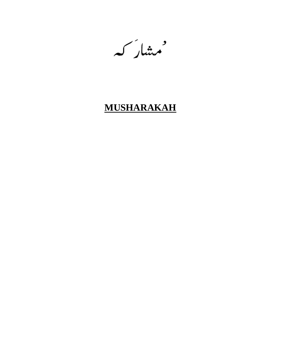ممشارکہ

# **MUSHARAKAH**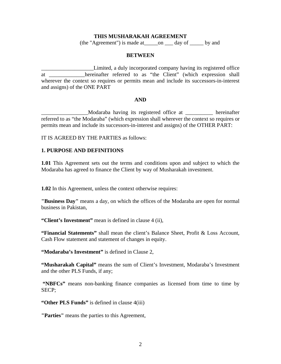#### **THIS MUSHARAKAH AGREEMENT**

(the "Agreement") is made at\_\_\_\_\_on \_\_\_ day of \_\_\_\_\_ by and

#### **BETWEEN**

\_\_\_\_\_\_\_\_\_\_\_\_\_\_\_\_\_\_\_Limited, a duly incorporated company having its registered office at a hereinafter referred to as "the Client" (which expression shall wherever the context so requires or permits mean and include its successors-in-interest and assigns) of the ONE PART

#### **AND**

\_\_\_\_\_\_\_\_\_\_\_\_\_\_\_\_\_Modaraba having its registered office at \_\_\_\_\_\_\_\_\_\_ hereinafter referred to as "the Modaraba" (which expression shall wherever the context so requires or permits mean and include its successors-in-interest and assigns) of the OTHER PART:

IT IS AGREED BY THE PARTIES as follows:

## **1. PURPOSE AND DEFINITIONS**

**1.01** This Agreement sets out the terms and conditions upon and subject to which the Modaraba has agreed to finance the Client by way of Musharakah investment.

**1.02** In this Agreement, unless the context otherwise requires:

**"Business Day"** means a day, on which the offices of the Modaraba are open for normal business in Pakistan,

**"Client's Investment"** mean is defined in clause 4 (ii),

**"Financial Statements"** shall mean the client's Balance Sheet, Profit & Loss Account, Cash Flow statement and statement of changes in equity.

**"Modaraba's Investment"** is defined in Clause 2,

**"Musharakah Capital"** means the sum of Client's Investment, Modaraba's Investment and the other PLS Funds, if any;

 **"NBFCs"** means non-banking finance companies as licensed from time to time by SECP;

**"Other PLS Funds"** is defined in clause 4(iii)

**"Parties"** means the parties to this Agreement,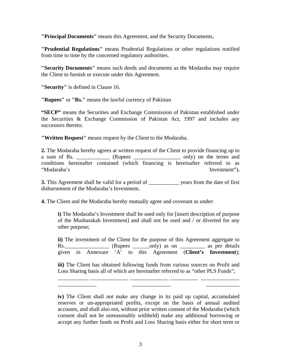**"Principal Documents"** means this Agreement, and the Security Documents,

**"Prudential Regulations"** means Prudential Regulations or other regulations notified from time to time by the concerned regulatory authorities.

**"Security Documents"** means such deeds and documents as the Modaraba may require the Client to furnish or execute under this Agreement.

**"Security"** is defined in Clause 16.

**"Rupees"** or **"Rs."** means the lawful currency of Pakistan

**"SECP"** means the Securities and Exchange Commission of Pakistan established under the Securities & Exchange Commission of Pakistan Act, 1997 and includes any successors thereto;

**"Written Request"** means request by the Client to the Modaraba.

**2.** The Modaraba hereby agrees at written request of the Client to provide financing up to a sum of Rs. \_\_\_\_\_\_\_\_\_\_\_ (Rupees \_\_\_\_\_\_\_\_\_\_\_\_\_\_ only) on the terms and conditions hereinafter contained (which financing is hereinafter referred to as "Modaraba's Investment")**.**

**3.** This Agreement shall be valid for a period of \_\_\_\_\_\_\_\_\_\_\_ years from the date of first disbursement of the Modaraba's Investment**.**

**4.** The Client and the Modaraba hereby mutually agree and covenant as under:

**i)** The Modaraba's Investment shall be used only for [insert description of purpose of the Musharakah Investment] and shall not be used and / or diverted for any other purpose;

**ii)** The investment of the Client for the purpose of this Agreement aggregate to Rs. (Rupees only) as on as per details given in Annexure 'A' to this Agreement (**Client's Investment**);

**iii)** The Client has obtained following funds from various sources on Profit and Loss Sharing basis all of which are hereinafter referred to as "other PLS Funds";

\_\_\_\_\_\_\_\_\_\_\_ \_\_\_\_\_\_\_\_\_\_\_\_\_\_ \_\_\_\_\_\_\_\_\_\_\_\_\_\_ \_\_\_\_\_\_\_\_\_\_ \_\_\_\_\_\_\_\_\_\_\_\_\_\_ \_\_\_\_\_\_\_\_\_\_\_\_\_\_ \_\_\_\_\_\_\_\_\_\_\_\_\_\_ \_\_\_\_\_\_\_\_\_\_\_\_

**iv)** The Client shall not make any change in its paid up capital, accumulated reserves or un-appropriated profits, except on the basis of annual audited accounts, and shall also not, without prior written consent of the Modaraba (which consent shall not be unreasonably withheld) make any additional borrowing or accept any further funds on Profit and Loss Sharing basis either for short term or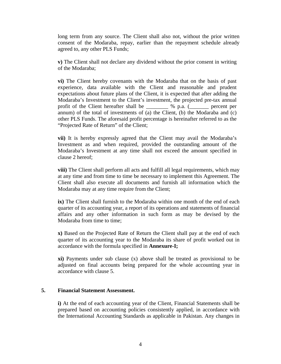long term from any source. The Client shall also not, without the prior written consent of the Modaraba, repay, earlier than the repayment schedule already agreed to, any other PLS Funds;

 **v)** The Client shall not declare any dividend without the prior consent in writing of the Modaraba;

 **vi)** The Client hereby covenants with the Modaraba that on the basis of past experience, data available with the Client and reasonable and prudent expectations about future plans of the Client, it is expected that after adding the Modaraba's Investment to the Client's investment, the projected pre-tax annual profit of the Client hereafter shall be \_\_\_\_\_\_\_\_ % p.a. (\_\_\_\_\_\_\_ percent per annum) of the total of investments of (a) the Client, (b) the Modaraba and (c) other PLS Funds. The aforesaid profit percentage is hereinafter referred to as the "Projected Rate of Return" of the Client;

 **vii)** It is hereby expressly agreed that the Client may avail the Modaraba's Investment as and when required, provided the outstanding amount of the Modaraba's Investment at any time shall not exceed the amount specified in clause 2 hereof;

**viii)** The Client shall perform all acts and fulfill all legal requirements, which may at any time and from time to time be necessary to implement this Agreement. The Client shall also execute all documents and furnish all information which the Modaraba may at any time require from the Client;

**ix)** The Client shall furnish to the Modaraba within one month of the end of each quarter of its accounting year, a report of its operations and statements of financial affairs and any other information in such form as may be devised by the Modaraba from time to time;

**x)** Based on the Projected Rate of Return the Client shall pay at the end of each quarter of its accounting year to the Modaraba its share of profit worked out in accordance with the formula specified in **Annexure-I;** 

**xi)** Payments under sub clause (x) above shall be treated as provisional to be adjusted on final accounts being prepared for the whole accounting year in accordance with clause 5.

## **5. Financial Statement Assessment.**

**i)** At the end of each accounting year of the Client, Financial Statements shall be prepared based on accounting policies consistently applied, in accordance with the International Accounting Standards as applicable in Pakistan. Any changes in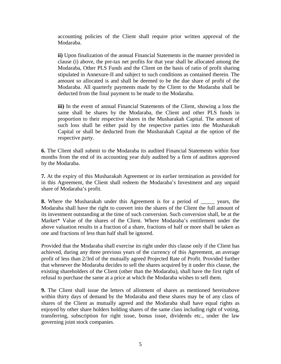accounting policies of the Client shall require prior written approval of the Modaraba.

**ii)** Upon finalization of the annual Financial Statements in the manner provided in clause (i) above, the pre-tax net profits for that year shall be allocated among the Modaraba, Other PLS Funds and the Client on the basis of ratio of profit sharing stipulated in Annexure-II and subject to such conditions as contained therein. The amount so allocated is and shall be deemed to be the due share of profit of the Modaraba. All quarterly payments made by the Client to the Modaraba shall be deducted from the final payment to be made to the Modaraba.

**iii)** In the event of annual Financial Statements of the Client, showing a loss the same shall be shares by the Modaraba, the Client and other PLS funds in proportion to their respective shares in the Musharakah Capital. The amount of such loss shall be either paid by the respective parties into the Musharakah Capital or shall be deducted from the Musharakah Capital at the option of the respective party.

**6.** The Client shall submit to the Modaraba its audited Financial Statements within four months from the end of its accounting year duly audited by a firm of auditors approved by the Modaraba.

**7.** At the expiry of this Musharakah Agreement or its earlier termination as provided for in this Agreement, the Client shall redeem the Modaraba's Investment and any unpaid share of Modaraba's profit.

**8.** Where the Musharakah under this Agreement is for a period of \_\_\_\_\_ years, the Modaraba shall have the right to convert into the shares of the Client the full amount of its investment outstanding at the time of such conversion. Such conversion shall, be at the Market\* Value of the shares of the Client. Where Modaraba's entitlement under the above valuation results in a fraction of a share, fractions of half or more shall be taken as one and fractions of less than half shall be ignored.

Provided that the Modaraba shall exercise its right under this clause only if the Client has achieved, during any three previous years of the currency of this Agreement, an average profit of less than 2/3rd of the mutually agreed Projected Rate of Profit. Provided further that whenever the Modaraba decides to sell the shares acquired by it under this clause, the existing shareholders of the Client (other than the Modaraba), shall have the first right of refusal to purchase the same at a price at which the Modaraba wishes to sell them.

**9.** The Client shall issue the letters of allotment of shares as mentioned hereinabove within thirty days of demand by the Modaraba and these shares may be of any class of shares of the Client as mutually agreed and the Modaraba shall have equal rights as enjoyed by other share holders holding shares of the same class including right of voting, transferring, subscription for right issue, bonus issue, dividends etc., under the law governing joint stock companies.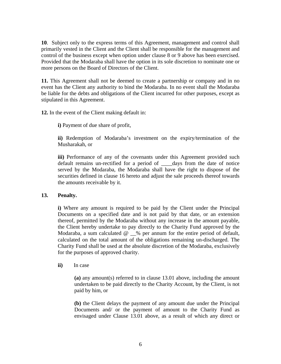**10**.Subject only to the express terms of this Agreement, management and control shall primarily vested in the Client and the Client shall be responsible for the management and control of the business except when option under clause 8 or 9 above has been exercised. Provided that the Modaraba shall have the option in its sole discretion to nominate one or more persons on the Board of Directors of the Client.

**11.** This Agreement shall not be deemed to create a partnership or company and in no event has the Client any authority to bind the Modaraba. In no event shall the Modaraba be liable for the debts and obligations of the Client incurred for other purposes, except as stipulated in this Agreement.

**12.** In the event of the Client making default in:

**i)** Payment of due share of profit,

**ii)** Redemption of Modaraba's investment on the expiry/termination of the Musharakah, or

**iii)** Performance of any of the covenants under this Agreement provided such default remains un-rectified for a period of \_\_\_\_days from the date of notice served by the Modaraba, the Modaraba shall have the right to dispose of the securities defined in clause 16 hereto and adjust the sale proceeds thereof towards the amounts receivable by it.

## **13. Penalty.**

**i)** Where any amount is required to be paid by the Client under the Principal Documents on a specified date and is not paid by that date, or an extension thereof, permitted by the Modaraba without any increase in the amount payable, the Client hereby undertake to pay directly to the Charity Fund approved by the Modaraba, a sum calculated  $@ \_\%$  per annum for the entire period of default, calculated on the total amount of the obligations remaining un-discharged. The Charity Fund shall be used at the absolute discretion of the Modaraba, exclusively for the purposes of approved charity.

## **ii)** In case

**(a)** any amount(s) referred to in clause 13.01 above, including the amount undertaken to be paid directly to the Charity Account, by the Client, is not paid by him, or

**(b)** the Client delays the payment of any amount due under the Principal Documents and/ or the payment of amount to the Charity Fund as envisaged under Clause 13.01 above, as a result of which any direct or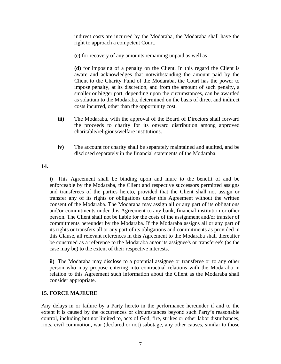indirect costs are incurred by the Modaraba, the Modaraba shall have the right to approach a competent Court.

**(c)** for recovery of any amounts remaining unpaid as well as

**(d)** for imposing of a penalty on the Client. In this regard the Client is aware and acknowledges that notwithstanding the amount paid by the Client to the Charity Fund of the Modaraba, the Court has the power to impose penalty, at its discretion, and from the amount of such penalty, a smaller or bigger part, depending upon the circumstances, can be awarded as solatium to the Modaraba, determined on the basis of direct and indirect costs incurred, other than the opportunity cost.

- **iii**) The Modaraba, with the approval of the Board of Directors shall forward the proceeds to charity for its onward distribution among approved charitable/religious/welfare institutions.
- **iv)** The account for charity shall be separately maintained and audited, and be disclosed separately in the financial statements of the Modaraba.

**14.**

**i)** This Agreement shall be binding upon and inure to the benefit of and be enforceable by the Modaraba, the Client and respective successors permitted assigns and transferees of the parties hereto, provided that the Client shall not assign or transfer any of its rights or obligations under this Agreement without the written consent of the Modaraba. The Modaraba may assign all or any part of its obligations and/or commitments under this Agreement to any bank, financial institution or other person. The Client shall not be liable for the costs of the assignment and/or transfer of commitments hereunder by the Modaraba. If the Modaraba assigns all or any part of its rights or transfers all or any part of its obligations and commitments as provided in this Clause, all relevant references in this Agreement to the Modaraba shall thereafter be construed as a reference to the Modaraba an/or its assignee's or transferee's (as the case may be) to the extent of their respective interests.

**ii)** The Modaraba may disclose to a potential assignee or transferee or to any other person who may propose entering into contractual relations with the Modaraba in relation to this Agreement such information about the Client as the Modaraba shall consider appropriate.

## **15. FORCE MAJEURE**

Any delays in or failure by a Party hereto in the performance hereunder if and to the extent it is caused by the occurrences or circumstances beyond such Party's reasonable control, including but not limited to, acts of God, fire, strikes or other labor disturbances, riots, civil commotion, war (declared or not) sabotage, any other causes, similar to those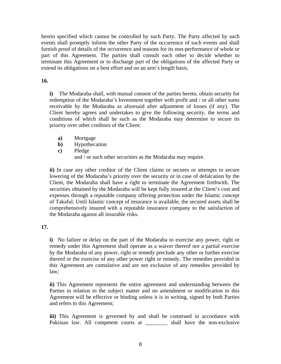herein specified which cannot be controlled by such Party. The Party affected by such events shall promptly inform the other Party of the occurrence of such events and shall furnish proof of details of the occurrence and reasons for its non-performance of whole or part of this Agreement. The parties shall consult each other to decide whether to terminate this Agreement or to discharge part of the obligations of the affected Party or extend its obligations on a best effort and on an arm's length basis.

## **16.**

**i)** The Modaraba shall, with mutual consent of the parties hereto, obtain security for redemption of the Modaraba's Investment together with profit and / or all other sums receivable by the Modaraba as aforesaid after adjustment of losses (if any). The Client hereby agrees and undertakes to give the following security, the terms and conditions of which shall be such as the Modaraba may determine to secure its priority over other creditors of the Client:

- **a)** Mortgage
- **b)** Hypothecation
- **c)** Pledge and / or such other securities as the Modaraba may require.

**ii)** In case any other creditor of the Client claims or secures or attempts to secure lowering of the Modaraba's priority over the security or in case of defalcation by the Client, the Modaraba shall have a right to terminate the Agreement forthwith. The securities obtained by the Modaraba will be kept fully insured at the Client's cost and expenses through a reputable company offering protection under the Islamic concept of Takaful. Until Islamic concept of insurance is available, the secured assets shall be comprehensively insured with a reputable insurance company to the satisfaction of the Modaraba against all insurable risks.

## **17.**

**i)** No failure or delay on the part of the Modaraba to exercise any power, right or remedy under this Agreement shall operate as a waiver thereof nor a partial exercise by the Modaraba of any power, right or remedy preclude any other or further exercise thereof or the exercise of any other power right or remedy. The remedies provided in this Agreement are cumulative and are not exclusive of any remedies provided by law;

**ii)** This Agreement represents the entire agreement and understanding between the Parties in relation to the subject matter and no amendment or modification to this Agreement will be effective or binding unless it is in writing, signed by both Parties and refers to this Agreement;

**iii**) This Agreement is governed by and shall be construed in accordance with Pakistan law. All competent courts at \_\_\_\_\_\_\_\_\_ shall have the non-exclusive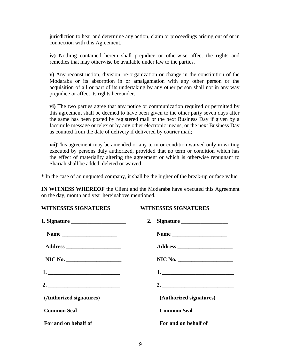jurisdiction to hear and determine any action, claim or proceedings arising out of or in connection with this Agreement.

**iv)** Nothing contained herein shall prejudice or otherwise affect the rights and remedies that may otherwise be available under law to the parties.

**v)** Any reconstruction, division, re-organization or change in the constitution of the Modaraba or its absorption in or amalgamation with any other person or the acquisition of all or part of its undertaking by any other person shall not in any way prejudice or affect its rights hereunder.

**vi)** The two parties agree that any notice or communication required or permitted by this agreement shall be deemed to have been given to the other party seven days after the same has been posted by registered mail or the next Business Day if given by a facsimile message or telex or by any other electronic means, or the next Business Day as counted from the date of delivery if delivered by courier mail;

**vii)**This agreement may be amended or any term or condition waived only in writing executed by persons duly authorized, provided that no term or condition which has the effect of materiality altering the agreement or which is otherwise repugnant to Shariah shall be added, deleted or waived.

**\*** In the case of an unquoted company, it shall be the higher of the break-up or face value.

**IN WITNESS WHEREOF** the Client and the Modaraba have executed this Agreement on the day, month and year hereinabove mentioned.

**WITNESSES SIGNATURES WITNESSES SIGNATURES** 

|                                 | 2.<br>Signature         |
|---------------------------------|-------------------------|
|                                 |                         |
| Address _______________________ |                         |
| NIC No.                         | NIC No.                 |
|                                 |                         |
| 2. $\qquad \qquad$              | 2. $\qquad \qquad$      |
| (Authorized signatures)         | (Authorized signatures) |
| <b>Common Seal</b>              | <b>Common Seal</b>      |
| For and on behalf of            | For and on behalf of    |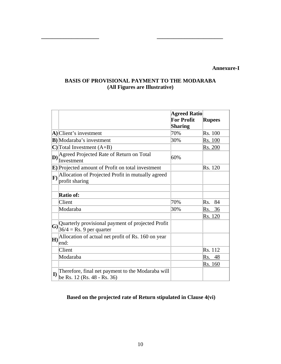#### **Annexure-I**

## **BASIS OF PROVISIONAL PAYMENT TO THE MODARABA (All Figures are Illustrative)**

**\_\_\_\_\_\_\_\_\_\_\_\_\_\_\_\_\_\_\_\_\_ \_\_\_\_\_\_\_\_\_\_\_\_\_\_\_\_\_\_\_\_\_\_\_\_** 

|             |                                                                                  | <b>Agreed Ratio</b><br><b>For Profit</b><br>Sharing | <b>Rupees</b>  |
|-------------|----------------------------------------------------------------------------------|-----------------------------------------------------|----------------|
|             | $\bf{A})$ Client's investment                                                    | 70%                                                 | Rs. 100        |
|             | <b>B</b> ) Modaraba's investment                                                 | 30%                                                 | Rs. 100        |
|             | $\mathbb{C}$ Total Investment (A+B)                                              |                                                     | <u>Rs. 200</u> |
| D)          | Agreed Projected Rate of Return on Total<br>Investment                           | 60%                                                 |                |
|             | <b>E</b> ) Projected amount of Profit on total investment                        |                                                     | Rs. 120        |
|             | $\mathbf{F}$ Allocation of Projected Profit in mutually agreed<br>profit sharing |                                                     |                |
|             | Ratio of:                                                                        |                                                     |                |
|             | Client                                                                           | 70%                                                 | 84<br>Rs.      |
|             | Modaraba                                                                         | 30%                                                 | 36<br>Rs.      |
|             |                                                                                  |                                                     | Rs. 120        |
| $ {\bf G} $ | Quarterly provisional payment of projected Profit<br>$36/4 =$ Rs. 9 per quarter  |                                                     |                |
| H)          | Allocation of actual net profit of Rs. 160 on year<br>end:                       |                                                     |                |
|             | Client                                                                           |                                                     | Rs. 112        |
|             | Modaraba                                                                         |                                                     | Rs.<br>48      |
|             |                                                                                  |                                                     | Rs. 160        |
| $\bf{I}$    | Therefore, final net payment to the Modaraba will<br>be Rs. 12 (Rs. 48 - Rs. 36) |                                                     |                |

## **Based on the projected rate of Return stipulated in Clause 4(vi)**